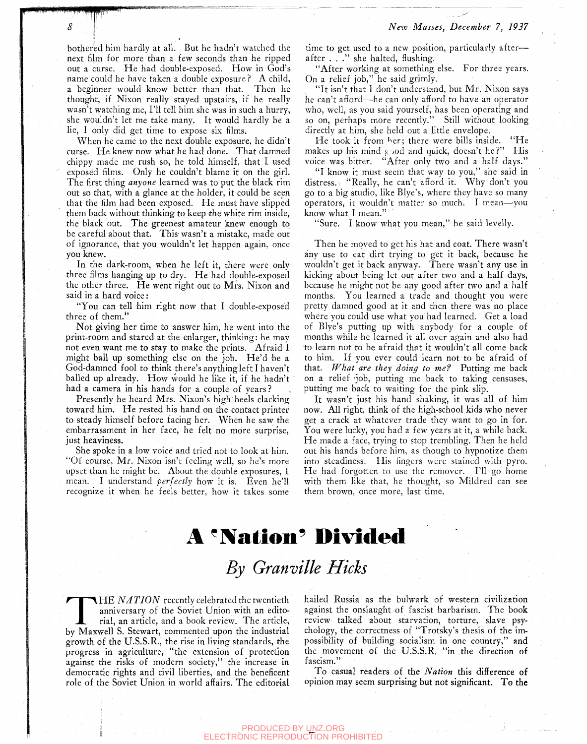bothered him hardly at all. But he hadn't watched the next film for more than a few seconds than he ripped out a curse. He had double-exposed. How in God's name could he have taken a double exposure? A child, a beginner would know better than that. Then he thought, if Nixon really stayed upstairs, if he really wasn't watching me, I'll tell him she was in such a hurry, she wouldn't let me take many, It would hardly be a lie, I only did get time to expose six films.

if air head and also had a high-8

> When he came to the next double exposure, he didn't curse. He knew now what he had done. That damned chippy made me rush so, he told himself, that I used exposed films. Only he couldn't blame it on the girl. The first thing *anyone* learned was to put the black rim out so that, with a glance at the holder, it could be seen that the film had been exposed. He must have slipped them back without thinking to keep the white rim inside, the black out. The greenest amateur knew enough to be careful about that. This wasn't a mistake, made out of ignorance, that you wouldn't let happen again, once you knew.

> In the dark-room, when he left it, there were only three films hanging up to dry. He had double-exposed the other three. He went right out to Mrs. Nixon and said in a hard voice:

> "You can tell him right now that I double-exposed three of them."

> Not giving her time to answer him, he went into the print-room and stared at the enlarger, thinking: he may not even want me to stay to make the prints. Afraid I might ball up something else on the job. He'd be a God-damned fool to think there's anything left I haven't balled up already. How would he like it, if he hadn't had a camera in his hands for a couple of years?

> Presently he heard Mrs. Nixon's high heels clacking toward him. He rested his hand on the contact printer to steady himself before facing her. When he saw the embarrassment in her face, he felt no more surprise, just heaviness.

> She spoke in a low voice and tried not to look at him. "Of course, Mr. Nixon isn't feeling well, so he's more upset than he might be. About the double exposures, I mean. I understand *perfectly* how it is. Even he'll recognize it when he feels better, how it takes some

time to get used to a new position, particularly after after . . ." she halted, flushing.

"After working at something else. For three years. On a relief job," he said grimly.

"It isn't that I don't understand, but Mr. Nixon says he can't afford—he can only afford to have an operator who, well, as you said yourself, has been operating and so on, perhaps more recently." Still without looking directly at him, she held out a little envelope.

He took it from her; there were bills inside. "He makes up his mind good and quick, doesn't he?" His voice was bitter. "After only two and a half days."

"I know it must seem that way to you," she said in distress. "Really, he can't afford it. Why don't you go to a big studio, like Blye's, where they have so many operators, it wouldn't matter so much. I mean—you know what I mean."

"Sure. I know what you mean," he said levelly.

Then he moved to get his hat and coat. There wasn't any use to eat dirt trying to get it back, because he wouldn't get it back anyway. There wasn't any use in kicking about being let out after two and a half days, because he might not be any good after two and a half months. You learned a trade and thought you were pretty damned good at it and then there was no place where you could use what you had learned. Get a load of Blye's putting up with anybody for a couple of months while he learned it all over again and also had to learn not to be afraid that it wouldn't all come back to him. If you ever could learn not to be afraid of that. *What are they doing to me?* Putting me back on a relief 'job, putting me back to taking censuses, putting me back to waiting for the pink slip.

It wasn't just his hand shaking, it was all of him now. All right, think of the high-school kids who never get a crack at whatever trade they want to go in for. You were lucky, you had a few years at it, a while back. He made a face, trying to stop trembling. Then he held out his hands before him, as though to hypnotize them into steadiness. His fingers were stained with pyro. He had forgotten to use the remover. I'll go home with them like that, he thought, so Mildred can see them brown, once more, last time.

## **A ^I^ation' Divided**  *By Granville Hicks*

THE NATION recently celebrated the twentieth<br>anniversary of the Soviet Union with an edito-<br>rial, an article, and a book review. The article,<br>by Maxwell S. Stewart, commented upon the industrial H E *NA TION* recently celebrated the twentieth anniversary of the Soviet Union with an editorial, an article, and a book review. The article, growth of the U.S.S.R., the rise in living standards, the progress in agriculture, "the extension of protection against the risks of modern society," the increase in democratic rights and civil liberties, and the beneficent role of the Soviet Union in world affairs. The editorial

hailed Russia as the bulwark of western civilization against the onslaught of fascist barbarism. The book review talked about starvation, torture, slave psychology, the correctness of "Trotsky's thesis of the impossibility of building socialism in one country," and the movement of the U.S.S.R. "in the direction of fascism."

To casual readers of the *Nation* this difference of opinion may seem surprising but not significant. To the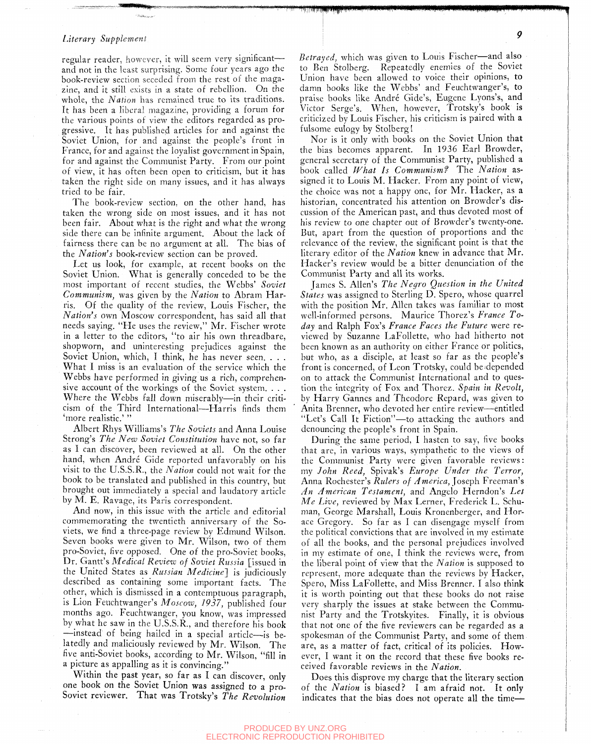regular reader, however, it will seem very significant and not in the least surprising. Some four years ago the book-review section seceded from the rest of the magazine, and it still exists in a state of rebellion. On the whole, the *Nation* has remained true to its traditions. It has been a liberal magazine, providing a forum for the various points of view the editors regarded as progressive. It has published articles for and against the Soviet Union, for and against the people's front in France, for and against the loyalist government in Spain, for and against the Communist Party. From our point of view, it has often been open to criticism, but it has taken the right side on many issues, and it has always tried to be fair.

The book-review section, on the other hand, has taken the wrong side on most issues, and it has not been fair. About what is the right and what the wrong side there can be infinite argument. About the lack of fairness there can be no argument at all. The bias of the *Nation's* book-review section can be proved.

Let us look, for example, at recent books on the Soviet Union. What is generally conceded to be the most important of recent studies, the Webbs' *Soviet Communism,* was given by the *Nation* to Abram Harris. Of the quality of the review, Louis Fischer, the *Nation's* own Moscow correspondent, has said all that needs saying. "He uses the review," Mr. Fischer wrote in a letter to the editors, "to air his own threadbare, shopworn, and uninteresting prejudices against the Soviet Union, which, I think, he has never seen. . . . What I miss is an evaluation of the service which the Webbs have performed in giving us a rich, comprehensive account of the workings of the Soviet system. . . . Where the Webbs fall down miserably—in their criticism of the Third International—Harris finds them 'more realistic.'

Albert Rhys Williams's *The Soviets* and Anna Louise Strong's *The New Soviet Constitution* have not, so far as I can discover, been reviewed at all. On the other hand, when André Gide reported unfavorably on his visit to the U.S.S.R., the *Nation* could not wait for the book to be translated and published in this country, but brought out Immediately a special and laudatory article by M. E. Ravage, its Paris correspondent.

And now. In this issue with the article and editorial commemorating the twentieth anniversary of the Soviets, we find a three-page review by Edmund Wilson. Seven books were given to Mr. Wilson, two of them pro-Soviet, five opposed. One of the pro-Soviet books. Dr. Gantt's *Medical Review of Soviet Russia* [Issued in the United States as *Russian Medicine]* Is judiciously described as containing some important facts. The other, which is dismissed in a contemptuous paragraph, Is Lion Feuchtwanger's *Moscow, 1937,* published four months ago. Feuchtwanger, you know, was impressed by what he saw in the U.S.S.R., and therefore his book —Instead of being hailed In a special article—Is belatedly and maliciously reviewed by Mr. Wilson. The five anti-Soviet books, according to Mr. Wilson, "fill in a picture as appalling as it is convincing."

Within the past year, so far as I can discover, only one book on the Soviet Union was assigned *to* a pro-Soviet reviewer. That was Trotsky's The Revolution

. Tiplii in kalendari kalendari kalendari kalendari kalendari kalendari kalendari kalendari kalendari kalendari

Nor is it only with books on the Soviet Union that the bias becomes apparent. In 1936 Earl Browder, general secretary of the Communist Party, published a book called What Is Communism? The Nation assigned it to Louis M. Hacker. From any point of view, the choice was not a happy one, for Mr. Hacker, as a historian, concentrated his attention on Browder's discussion of the American past, and thus devoted most of his review to one chapter out of Browder's twenty-one. But, apart from the question of proportions and the relevance of the review, the significant point is that the literary editor of the *Nation* knew in advance that Mr. Hacker's review would be a bitter denunciation of the Communist Party and all its works.

James S. Allen's *The Negro Question in the United States* was assigned to Sterling D. Spero, whose quarrel with the position Mr. Allen takes was familiar to most well-informed persons. Maurice Thorez's *France Today* and Ralph Fox's *France Faces the Future* were reviewed by Suzanne LaFollette, who had hitherto not been known as an authority on either France or politics, but who, as a disciple, at least so far as the people's front is concerned, of Leon Trotsky, could be .depended on to attack the Communist International and to question the integrity of Fox and Thorez . *Spain in Revolt,*  by Harry Gannes and Theodore Repard, was given to Anita Brenner, who devoted her entire review—entitled "Let's Call It Fiction"—to attacking the authors and denouncing the people's front in Spain.

During the same period, I hasten to say, five books that are, in various ways, sympathetic to the views of the Communist Party were given favorable reviews: my *John Reed,* Spivak's *Europe Under the Terror,*  Anna Rochester's *Rulers of America,* Joseph Freeman's *An American Testament,* and Angelo Herndon's *Let Me Live,* reviewed by Max Lerner, Frederick L. Schuman, George Marshall, Louis Kronenberger, and Horace Gregory. So far as I can disengage myself from the political convictions that are involved in my estimate of all the books, and the personal prejudices involved in my estimate of one, I think the reviews were, from the liberal point of view that the *Nation* Is supposed to represent, more adequate than the reviews by Hacker, Spero, Miss LaFollette, and Miss Brenner. I also think it is worth pointing out that these books do not raise very sharply the issues at stake between the Communist Party and the Trotskyites. Finally, it is obvious that not one of the five reviewers can be regarded as a spokesman of the Communist Party, and some of them are, as a matter of fact, critical of its policies. However, I want it on the record that these five books received favorable reviews in the *Nation.* 

Does this disprove my charge that the literary section of the *Nation* is biased? I am afraid not. It only indicates that the bias does not operate all the time-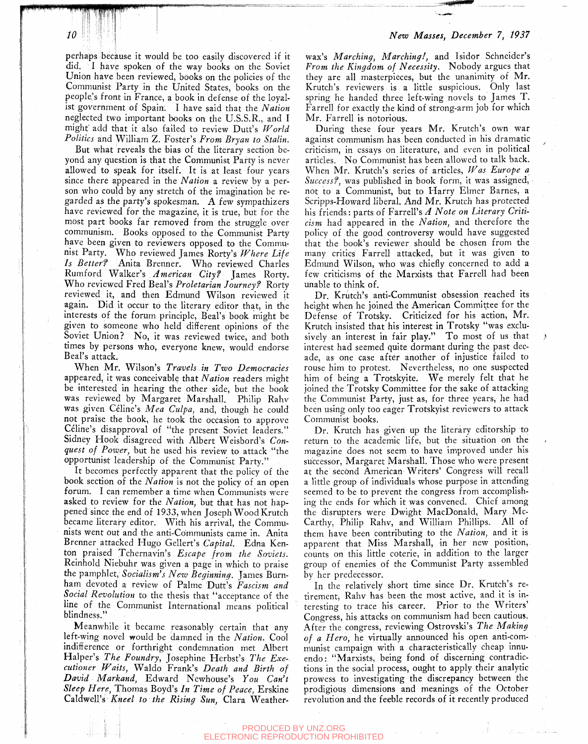**J;3-^^|l(l|flH"'** 

perhaps because it would be too easily discovered if it did. I have spoken of the way books on the Soviet Union have been reviewed, books on the policies of the Communist Party in the United States, books on the people's front in France, a book in defense of the loyalist government of Spain; I have said that the *Nation*  neglected two important books on the U.S.S.R., and I might' add that it also failed to review Dutt's *World Politics* and William Z. Foster's *From Bryan to Stalin.* 

10

But what reveals the bias of the literary section beyond any question is that the Communist Party is never allowed to speak for itself. It is at least four years since there appeared in the *Nation* a review by a person who could by any stretch of the imagination be regarded as the party's spokesman. A few sympathizers have reviewed for the magazine, it is true, but for the most part books far removed from the struggle over communism. Books opposed to the Communist Party have been given to reviewers opposed to the Communist Party. Who reviewed James Rorty's *Where Life Is Better?* Anita Brenner. Who reviewed Charles Rumford Walker's *American City?* James Rorty. Who reviewed Fred Beal's *Proletarian Journey?* Rorty reviewed it, and then Edmund Wilson reviewed it again. Did it occur to the literary editor that, in the interests of the forum principle, Beal's book might be given to someone who held different opinions of the Soviet Union? No, it was reviewed twice, and both times by persons who, everyone knew, would endorse Beal's attack.

When Mr. Wilson's *Travels in Two Democracies*  appeared, it was conceivable that *Nation* readers might be interested in hearing the other side, but the book was reviewed by Margaret Marshall. Philip Rahv was given Celine's *Mea Culpa,* and, though he could not praise the book, he took the occasion to approve Celine's disapproval of "the present Soviet leaders." Sidney Hook disagreed with Albert Weisbord's *Conquest of Power,* but he used his review to attack "the opportunist leadership of the Communist Party."

It becomes perfectly apparent that the policy of the book section of the *Nation* is not the policy of an open forum. I can remember a time when Communists were asked to review for the *Nation,* but that has not happened since the end of 1933, when Joseph Wood Krutch became literary editor. With his arrival, the Communists went out and the anti-Communists came in. Anita Brenner attacked Hugo Gellert's *Capital.* Edna Kenton praised Tchernavin's *Escape from the Soviets.*  Reinhold Niebuhr was given a page in which to praise the pamphlet, *Socialism's New Beginning.* James Burnham devoted a review of Palme Dutt's *Fascism and Social Revolution* to the thesis that "acceptance of the line of the Communist International means political blindness,"

Meanwhile it became reasonably certain that any left-wing novel would be damned in the *Nation.* Cool indifference or forthright condemnation met Albert Halper's *The Foundry,* Josephine Herbst's *The Executioner Waits,* Waldo Frank's *Death and Birth of David Markand,* Edward Newhouse's *You Can't Sleep Here,* Thomas Boyd's *In Time of Peace,* Erskine Caldwell's *Kneel to the Rising Sun,* Clara Weather-

wax's *Marching, Marching!,* and Isidor Schneider's *From the Kingdom of Necessity.* Nobody argues that they are all masterpieces, but the unanimity of Mr. Krutch's reviewers is a little suspicious. Only last spring he handed three left-wing novels to James T. Farrell for exactly the kind of strong-arm job for which Mr. Farrell is notorious.

During these four years Mr. Krutch's own war against communism has been conducted in his dramatic ^ criticism, in essays on hterature, and even in political articles. No Communist has been allowed to talk back. When Mr. Krutch's series of articles. *Was Europe a Success?*, was published in book form, it was assigned, not to a Communist, but to Harry Elmer Barnes, a Scripps-Howard liberal. And Mr. Krutch has protected his friends: parts of Farrell's *A Note on Literary Criticism* had appeared in the *Nation,* and therefore the policy of the good controversy would have suggested that the book's reviewer should be chosen from the many critics Farrell attacked, but it was given to Edmund Wilson, who was chiefly concerned to add a few criticisms of the Marxists that Farrell had been unable to think of.

Dr. Krutch's anti-Communist obsession reached its height when he joined the American Committee for the Defense of Trotsky. Criticized for his action, Mr. Krutch insisted that his interest in Trotsky "was exclusively an interest in fair play." To most of us that interest had seemed quite dormant during the past decade, as one case after another of injustice failed to rouse him to protest. Nevertheless, no one suspected him of being a Trotskyite. We merely felt that he joined the Trotsky Committee for the sake of attacking the Communist Party, just as, for three years, he had been using only too eager Trotskyist reviewers to attack Communist books.

Dr. Krutch has given up the literary editorship to return to the academic life, but the situation on the magazine does not seem to have improved under his successor, Margaret Marshall. Those who were present at the second American Writers' Congress will recall a little group of individuals whose purpose in attending seemed to be to prevent the congress from accomplishing the ends for which it was convened. Chief among the disrupters were Dwight MacDonald, Mary Mc-Carthy, Philip Rahv, and William Phillips. All of them have been contributing to the *Nation,* and it is apparent that Miss Marshall, in her new position, counts on this litde coterie, in addition to the larger group of enemies of the Communist Party assembled by her predecessor.

In the relatively short time since Dr. Krutch's retirement, Rahv has been the most active, and it is interesting to trace his career. Prior to the Writers' Congress, his attacks on communism had been cautious. After the congress, reviewing Ostrovski's *The Making of a Hero,* he virtually announced his open anti-communist campaign with a characteristically cheap innuendo: "Marxists, being fond of discerning contradictions in the social process, ought to apply their analytic prowess to investigating the discrepancy between the prodigious dimensions and meanings of the October revolution and the feeble records of it recently produced